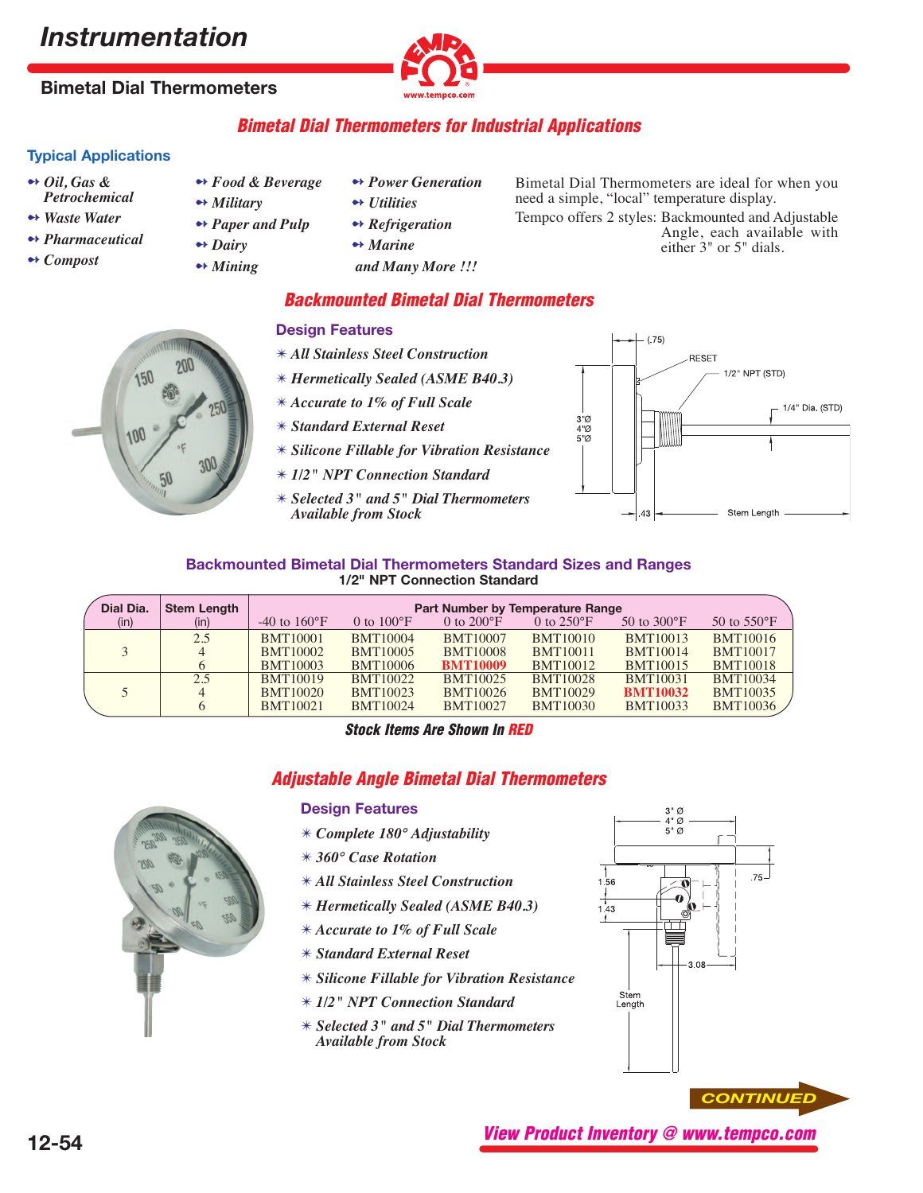# *Instrumentation*

# **Bimetal Dial Thermometers**



### **Bimetal Dial Thermometers for Industrial Applications**

#### **Typical Applications**

- ➻ *Oil, Gas & Petrochemical*
- ➻ *Waste Water*
- ➻ *Pharmaceutical*
- ➻ *Compost*
- ➻ *Food & Beverage* ➻ *Military*
- ➻ *Paper and Pulp*
- ➻ *Dairy*
- ➻ *Mining*
- ➻ *Power Generation*
- ➻ *Utilities*
- ➻ *Refrigeration*
- ➻ *Marine*
- *and Many More !!!*
- Bimetal Dial Thermometers are ideal for when you need a simple, "local" temperature display.
- Tempco offers 2 styles: Backmounted and Adjustable Angle, each available with either 3" or 5" dials.

#### **Backmounted Bimetal Dial Thermometers**

# 100

- **Design Features**
- ✴ *All Stainless Steel Construction*
- ✴ *Hermetically Sealed (ASME B40.3)*
- ✴ *Accurate to 1% of Full Scale*
- ✴ *Standard External Reset*
- ✴ *Silicone Fillable for Vibration Resistance*
- ✴ *1/2" NPT Connection Standard*
- ✴ *Selected 3" and 5" Dial Thermometers Available from Stock*



#### **Backmounted Bimetal Dial Thermometers Standard Sizes and Ranges 1/2" NPT Connection Standard**

| Dial Dia. | <b>Stem Length</b> | Part Number by Temperature Range |                      |                      |                      |                         |                       |  |
|-----------|--------------------|----------------------------------|----------------------|----------------------|----------------------|-------------------------|-----------------------|--|
| (in)      | (in)               | $-40$ to $160^{\circ}F$          | 0 to $100^{\circ}$ F | 0 to $200^{\circ}$ F | 0 to $250^{\circ}$ F | $50$ to $300^{\circ}$ F | 50 to $550^{\circ}$ F |  |
|           | 2.5                | <b>BMT10001</b>                  | <b>BMT10004</b>      | <b>BMT10007</b>      | <b>BMT10010</b>      | <b>BMT10013</b>         | <b>BMT10016</b>       |  |
|           | 4                  | <b>BMT10002</b>                  | <b>BMT10005</b>      | <b>BMT10008</b>      | <b>BMT10011</b>      | <b>BMT10014</b>         | <b>BMT10017</b>       |  |
|           |                    | <b>BMT10003</b>                  | <b>BMT10006</b>      | <b>BMT10009</b>      | <b>BMT10012</b>      | <b>BMT10015</b>         | <b>BMT10018</b>       |  |
|           | 2.5                | <b>BMT10019</b>                  | <b>BMT10022</b>      | <b>BMT10025</b>      | <b>BMT10028</b>      | <b>BMT10031</b>         | <b>BMT10034</b>       |  |
|           | 4                  | <b>BMT10020</b>                  | <b>BMT10023</b>      | <b>BMT10026</b>      | <b>BMT10029</b>      | <b>BMT10032</b>         | <b>BMT10035</b>       |  |
|           |                    | <b>BMT10021</b>                  | <b>BMT10024</b>      | <b>BMT10027</b>      | <b>BMT10030</b>      | <b>BMT10033</b>         | <b>BMT10036</b>       |  |

**Stock Items Are Shown In RED**

## **Adjustable Angle Bimetal Dial Thermometers**

# **Design Features**

- ✴ *Complete 180° Adjustability*
- ✴ *360° Case Rotation*
- ✴ *All Stainless Steel Construction*
- ✴ *Hermetically Sealed (ASME B40.3)*
- ✴ *Accurate to 1% of Full Scale*
- ✴ *Standard External Reset*
- ✴ *Silicone Fillable for Vibration Resistance*
- ✴ *1/2" NPT Connection Standard*
- ✴ *Selected 3" and 5" Dial Thermometers Available from Stock*



**View Product Inventory @ www.tempco.com**

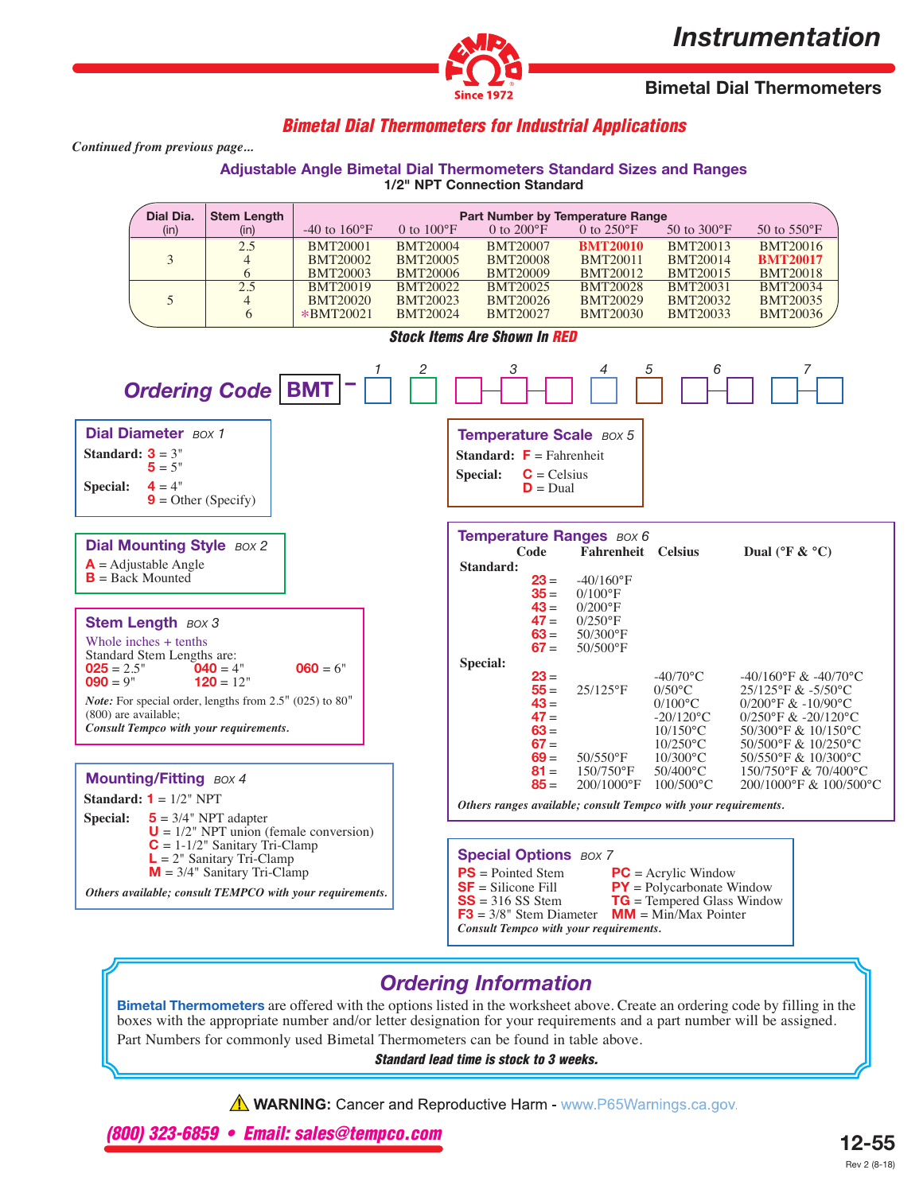# *Instrumentation*



**Bimetal Dial Thermometers**

## **Bimetal Dial Thermometers for Industrial Applications**

*Continued from previous page...*

# **Adjustable Angle Bimetal Dial Thermometers Standard Sizes and Ranges**



# *Ordering Information*

**Bimetal Thermometers** are offered with the options listed in the worksheet above. Create an ordering code by filling in the boxes with the appropriate number and/or letter designation for your requirements and a part number will be assigned. Part Numbers for commonly used Bimetal Thermometers can be found in table above.

#### **Standard lead time is stock to 3 weeks.**

**A WARNING:** Cancer and Reproductive Harm - www.P65Warnings.ca.gov.

**(800) 323-6859 • Email: sales@tempco.com**